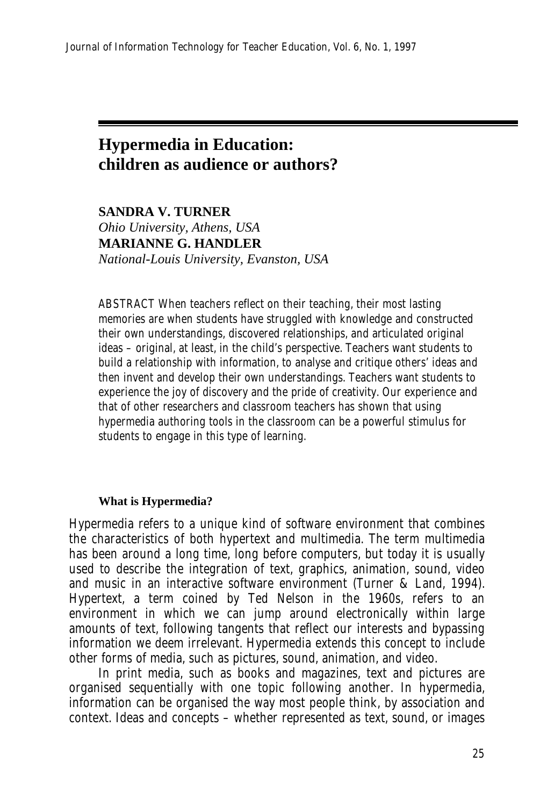# **Hypermedia in Education: children as audience or authors?**

**SANDRA V. TURNER** *Ohio University, Athens, USA* **MARIANNE G. HANDLER**  *National-Louis University, Evanston, USA*

ABSTRACT When teachers reflect on their teaching, their most lasting memories are when students have struggled with knowledge and constructed their own understandings, discovered relationships, and articulated original ideas – original, at least, in the child's perspective. Teachers want students to build a relationship with information, to analyse and critique others' ideas and then invent and develop their own understandings. Teachers want students to experience the joy of discovery and the pride of creativity. Our experience and that of other researchers and classroom teachers has shown that using hypermedia authoring tools in the classroom can be a powerful stimulus for students to engage in this type of learning.

## **What is Hypermedia?**

Hypermedia refers to a unique kind of software environment that combines the characteristics of both hypertext and multimedia. The term multimedia has been around a long time, long before computers, but today it is usually used to describe the integration of text, graphics, animation, sound, video and music in an interactive software environment (Turner & Land, 1994). Hypertext, a term coined by Ted Nelson in the 1960s, refers to an environment in which we can jump around electronically within large amounts of text, following tangents that reflect our interests and bypassing information we deem irrelevant. Hypermedia extends this concept to include other forms of media, such as pictures, sound, animation, and video.

In print media, such as books and magazines, text and pictures are organised sequentially with one topic following another. In hypermedia, information can be organised the way most people think, by association and context. Ideas and concepts – whether represented as text, sound, or images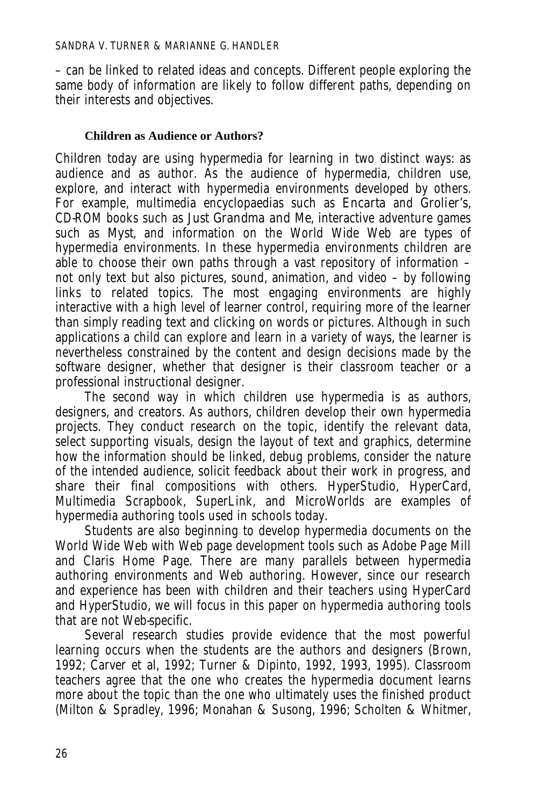– can be linked to related ideas and concepts. Different people exploring the same body of information are likely to follow different paths, depending on their interests and objectives.

## **Children as Audience or Authors?**

Children today are using hypermedia for learning in two distinct ways: as audience and as author. As the audience of hypermedia, children use, explore, and interact with hypermedia environments developed by others. For example, multimedia encyclopaedias such as *Encarta* and *Grolier's*, CD-ROM books such as *Just Grandma and Me*, interactive adventure games such as *Myst*, and information on the World Wide Web are types of hypermedia environments. In these hypermedia environments children are able to choose their own paths through a vast repository of information – not only text but also pictures, sound, animation, and video – by following links to related topics. The most engaging environments are highly interactive with a high level of learner control, requiring more of the learner than simply reading text and clicking on words or pictures. Although in such applications a child can explore and learn in a variety of ways, the learner is nevertheless constrained by the content and design decisions made by the software designer, whether that designer is their classroom teacher or a professional instructional designer.

The second way in which children use hypermedia is as authors, designers, and creators. As authors, children develop their own hypermedia projects. They conduct research on the topic, identify the relevant data, select supporting visuals, design the layout of text and graphics, determine how the information should be linked, debug problems, consider the nature of the intended audience, solicit feedback about their work in progress, and share their final compositions with others. HyperStudio, HyperCard, Multimedia Scrapbook, SuperLink, and MicroWorlds are examples of hypermedia authoring tools used in schools today.

Students are also beginning to develop hypermedia documents on the World Wide Web with Web page development tools such as Adobe Page Mill and Claris Home Page. There are many parallels between hypermedia authoring environments and Web authoring. However, since our research and experience has been with children and their teachers using HyperCard and HyperStudio, we will focus in this paper on hypermedia authoring tools that are not Web-specific.

Several research studies provide evidence that the most powerful learning occurs when the students are the authors and designers (Brown, 1992; Carver et al, 1992; Turner & Dipinto, 1992, 1993, 1995). Classroom teachers agree that the one who creates the hypermedia document learns more about the topic than the one who ultimately uses the finished product (Milton & Spradley, 1996; Monahan & Susong, 1996; Scholten & Whitmer,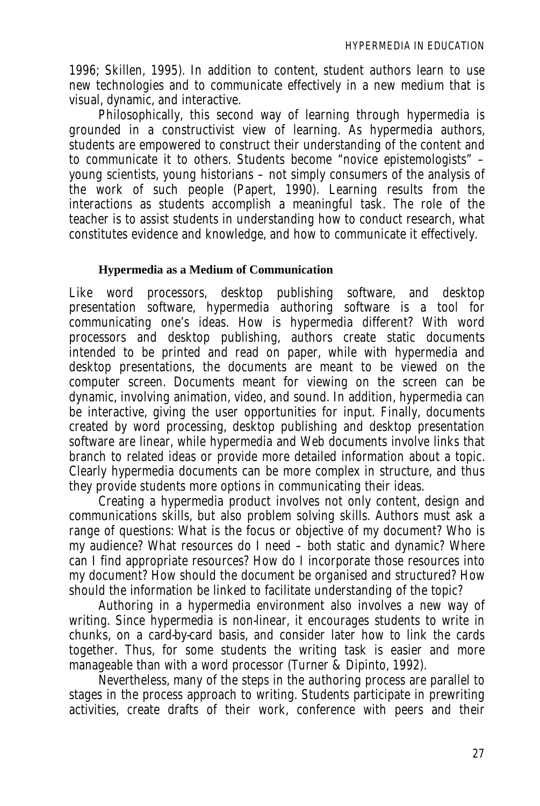1996; Skillen, 1995). In addition to content, student authors learn to use new technologies and to communicate effectively in a new medium that is visual, dynamic, and interactive.

Philosophically, this second way of learning through hypermedia is grounded in a constructivist view of learning. As hypermedia authors, students are empowered to construct their understanding of the content and to communicate it to others. Students become "novice epistemologists" – young scientists, young historians – not simply consumers of the analysis of the work of such people (Papert, 1990). Learning results from the interactions as students accomplish a meaningful task. The role of the teacher is to assist students in understanding how to conduct research, what constitutes evidence and knowledge, and how to communicate it effectively.

## **Hypermedia as a Medium of Communication**

Like word processors, desktop publishing software, and desktop presentation software, hypermedia authoring software is a tool for communicating one's ideas. How is hypermedia different? With word processors and desktop publishing, authors create static documents intended to be printed and read on paper, while with hypermedia and desktop presentations, the documents are meant to be viewed on the computer screen. Documents meant for viewing on the screen can be dynamic, involving animation, video, and sound. In addition, hypermedia can be interactive, giving the user opportunities for input. Finally, documents created by word processing, desktop publishing and desktop presentation software are linear, while hypermedia and Web documents involve links that branch to related ideas or provide more detailed information about a topic. Clearly hypermedia documents can be more complex in structure, and thus they provide students more options in communicating their ideas.

Creating a hypermedia product involves not only content, design and communications skills, but also problem solving skills. Authors must ask a range of questions: What is the focus or objective of my document? Who is my audience? What resources do I need – both static and dynamic? Where can I find appropriate resources? How do I incorporate those resources into my document? How should the document be organised and structured? How should the information be linked to facilitate understanding of the topic?

Authoring in a hypermedia environment also involves a new way of writing. Since hypermedia is non-linear, it encourages students to write in chunks, on a card-by-card basis, and consider later how to link the cards together. Thus, for some students the writing task is easier and more manageable than with a word processor (Turner & Dipinto, 1992).

Nevertheless, many of the steps in the authoring process are parallel to stages in the process approach to writing. Students participate in prewriting activities, create drafts of their work, conference with peers and their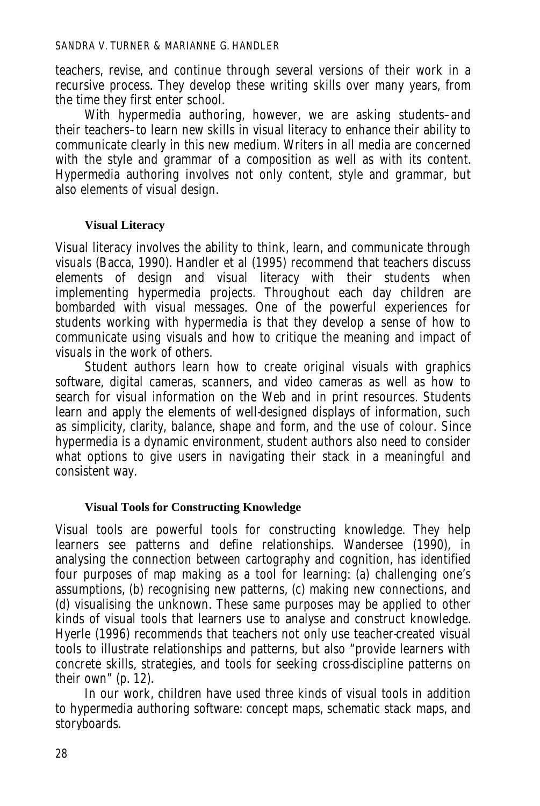teachers, revise, and continue through several versions of their work in a recursive process. They develop these writing skills over many years, from the time they first enter school.

With hypermedia authoring, however, we are asking students–and their teachers–to learn new skills in visual literacy to enhance their ability to communicate clearly in this new medium. Writers in all media are concerned with the style and grammar of a composition as well as with its content. Hypermedia authoring involves not only content, style and grammar, but also elements of visual design.

## **Visual Literacy**

Visual literacy involves the ability to think, learn, and communicate through visuals (Bacca, 1990). Handler et al (1995) recommend that teachers discuss elements of design and visual literacy with their students when implementing hypermedia projects. Throughout each day children are bombarded with visual messages. One of the powerful experiences for students working with hypermedia is that they develop a sense of how to communicate using visuals and how to critique the meaning and impact of visuals in the work of others.

Student authors learn how to create original visuals with graphics software, digital cameras, scanners, and video cameras as well as how to search for visual information on the Web and in print resources. Students learn and apply the elements of well-designed displays of information, such as simplicity, clarity, balance, shape and form, and the use of colour. Since hypermedia is a dynamic environment, student authors also need to consider what options to give users in navigating their stack in a meaningful and consistent way.

## **Visual Tools for Constructing Knowledge**

Visual tools are powerful tools for constructing knowledge. They help learners see patterns and define relationships. Wandersee (1990), in analysing the connection between cartography and cognition, has identified four purposes of map making as a tool for learning: (a) challenging one's assumptions, (b) recognising new patterns, (c) making new connections, and (d) visualising the unknown. These same purposes may be applied to other kinds of visual tools that learners use to analyse and construct knowledge. Hyerle (1996) recommends that teachers not only use teacher-created visual tools to illustrate relationships and patterns, but also "provide learners with concrete skills, strategies, and tools for seeking cross-discipline patterns on their own" (p. 12).

In our work, children have used three kinds of visual tools in addition to hypermedia authoring software: concept maps, schematic stack maps, and storyboards.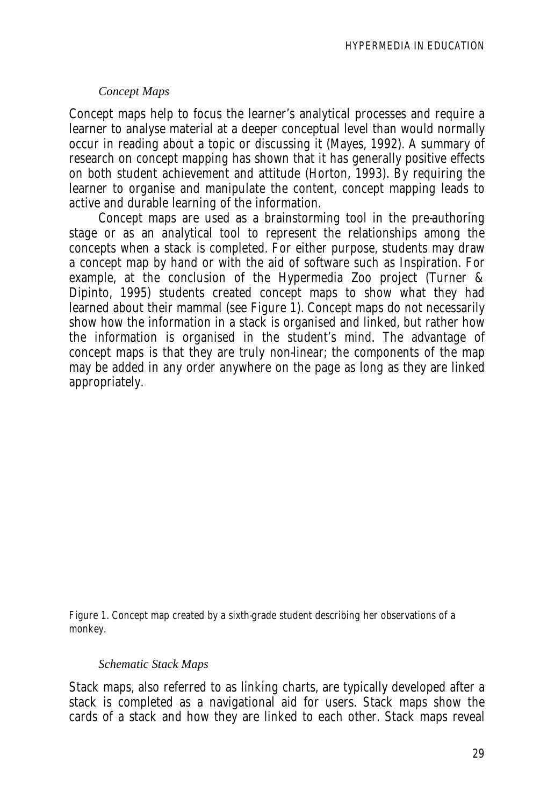## *Concept Maps*

Concept maps help to focus the learner's analytical processes and require a learner to analyse material at a deeper conceptual level than would normally occur in reading about a topic or discussing it (Mayes, 1992). A summary of research on concept mapping has shown that it has generally positive effects on both student achievement and attitude (Horton, 1993). By requiring the learner to organise and manipulate the content, concept mapping leads to active and durable learning of the information.

Concept maps are used as a brainstorming tool in the pre-authoring stage or as an analytical tool to represent the relationships among the concepts when a stack is completed. For either purpose, students may draw a concept map by hand or with the aid of software such as Inspiration. For example, at the conclusion of the Hypermedia Zoo project (Turner & Dipinto, 1995) students created concept maps to show what they had learned about their mammal (see Figure 1). Concept maps do not necessarily show how the information in a stack is organised and linked, but rather how the information is organised in the student's mind. The advantage of concept maps is that they are truly non-linear; the components of the map may be added in any order anywhere on the page as long as they are linked appropriately.

Figure 1. Concept map created by a sixth-grade student describing her observations of a monkey.

## *Schematic Stack Maps*

Stack maps, also referred to as linking charts, are typically developed after a stack is completed as a navigational aid for users. Stack maps show the cards of a stack and how they are linked to each other. Stack maps reveal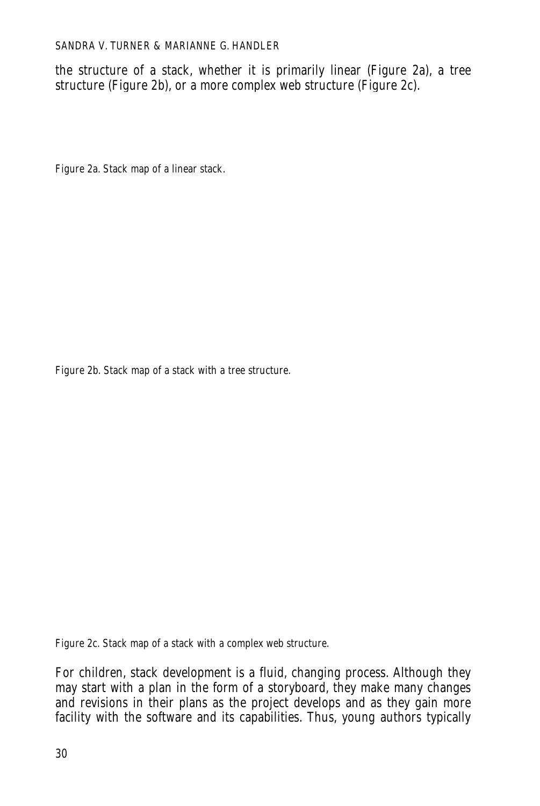the structure of a stack, whether it is primarily linear (Figure 2a), a tree structure (Figure 2b), or a more complex web structure (Figure 2c).

Figure 2a. Stack map of a linear stack.

Figure 2b. Stack map of a stack with a tree structure.

Figure 2c. Stack map of a stack with a complex web structure.

For children, stack development is a fluid, changing process. Although they may start with a plan in the form of a storyboard, they make many changes and revisions in their plans as the project develops and as they gain more facility with the software and its capabilities. Thus, young authors typically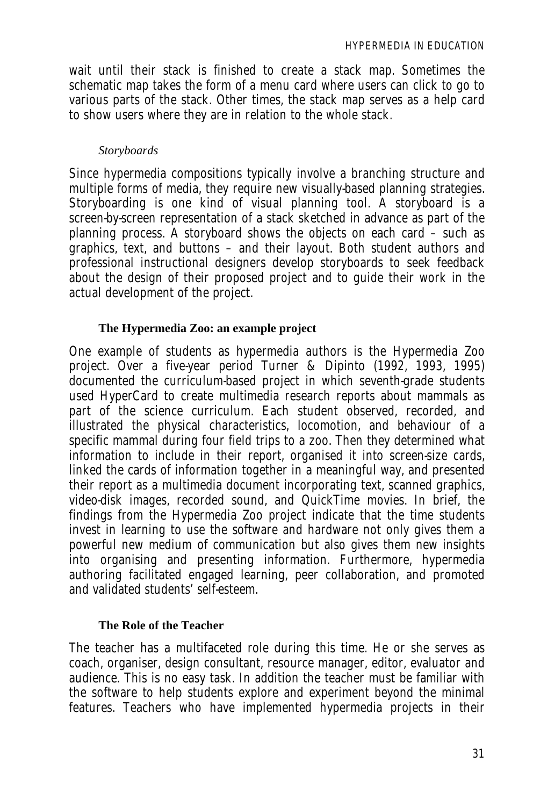wait until their stack is finished to create a stack map. Sometimes the schematic map takes the form of a menu card where users can click to go to various parts of the stack. Other times, the stack map serves as a help card to show users where they are in relation to the whole stack.

## *Storyboards*

Since hypermedia compositions typically involve a branching structure and multiple forms of media, they require new visually-based planning strategies. Storyboarding is one kind of visual planning tool. A storyboard is a screen-by-screen representation of a stack sketched in advance as part of the planning process. A storyboard shows the objects on each card – such as graphics, text, and buttons – and their layout. Both student authors and professional instructional designers develop storyboards to seek feedback about the design of their proposed project and to guide their work in the actual development of the project.

# **The Hypermedia Zoo: an example project**

One example of students as hypermedia authors is the Hypermedia Zoo project. Over a five-year period Turner & Dipinto (1992, 1993, 1995) documented the curriculum-based project in which seventh-grade students used HyperCard to create multimedia research reports about mammals as part of the science curriculum. Each student observed, recorded, and illustrated the physical characteristics, locomotion, and behaviour of a specific mammal during four field trips to a zoo. Then they determined what information to include in their report, organised it into screen-size cards, linked the cards of information together in a meaningful way, and presented their report as a multimedia document incorporating text, scanned graphics, video-disk images, recorded sound, and QuickTime movies. In brief, the findings from the Hypermedia Zoo project indicate that the time students invest in learning to use the software and hardware not only gives them a powerful new medium of communication but also gives them new insights into organising and presenting information. Furthermore, hypermedia authoring facilitated engaged learning, peer collaboration, and promoted and validated students' self-esteem.

## **The Role of the Teacher**

The teacher has a multifaceted role during this time. He or she serves as coach, organiser, design consultant, resource manager, editor, evaluator and audience. This is no easy task. In addition the teacher must be familiar with the software to help students explore and experiment beyond the minimal features. Teachers who have implemented hypermedia projects in their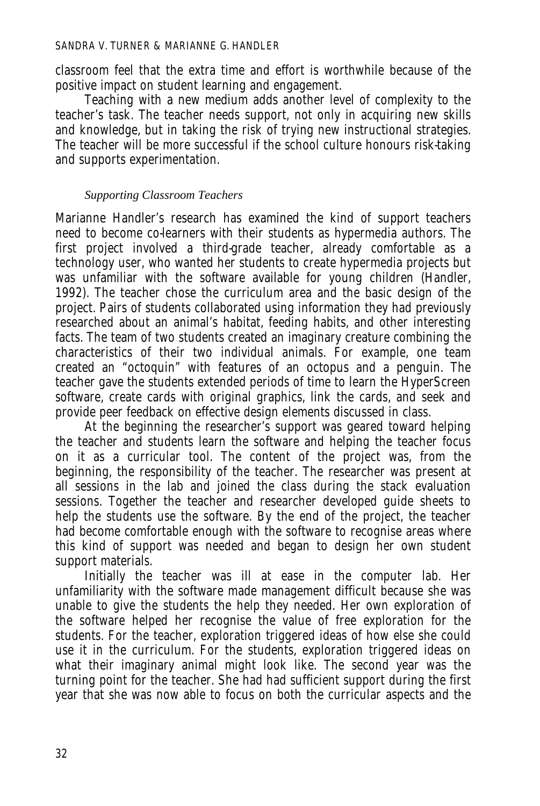classroom feel that the extra time and effort is worthwhile because of the positive impact on student learning and engagement.

Teaching with a new medium adds another level of complexity to the teacher's task. The teacher needs support, not only in acquiring new skills and knowledge, but in taking the risk of trying new instructional strategies. The teacher will be more successful if the school culture honours risk-taking and supports experimentation.

#### *Supporting Classroom Teachers*

Marianne Handler's research has examined the kind of support teachers need to become co-learners with their students as hypermedia authors. The first project involved a third-grade teacher, already comfortable as a technology user, who wanted her students to create hypermedia projects but was unfamiliar with the software available for young children (Handler, 1992). The teacher chose the curriculum area and the basic design of the project. Pairs of students collaborated using information they had previously researched about an animal's habitat, feeding habits, and other interesting facts. The team of two students created an imaginary creature combining the characteristics of their two individual animals. For example, one team created an "octoquin" with features of an octopus and a penguin. The teacher gave the students extended periods of time to learn the HyperScreen software, create cards with original graphics, link the cards, and seek and provide peer feedback on effective design elements discussed in class.

At the beginning the researcher's support was geared toward helping the teacher and students learn the software and helping the teacher focus on it as a curricular tool. The content of the project was, from the beginning, the responsibility of the teacher. The researcher was present at all sessions in the lab and joined the class during the stack evaluation sessions. Together the teacher and researcher developed guide sheets to help the students use the software. By the end of the project, the teacher had become comfortable enough with the software to recognise areas where this kind of support was needed and began to design her own student support materials.

Initially the teacher was ill at ease in the computer lab. Her unfamiliarity with the software made management difficult because she was unable to give the students the help they needed. Her own exploration of the software helped her recognise the value of free exploration for the students. For the teacher, exploration triggered ideas of how else she could use it in the curriculum. For the students, exploration triggered ideas on what their imaginary animal might look like. The second year was the turning point for the teacher. She had had sufficient support during the first year that she was now able to focus on both the curricular aspects and the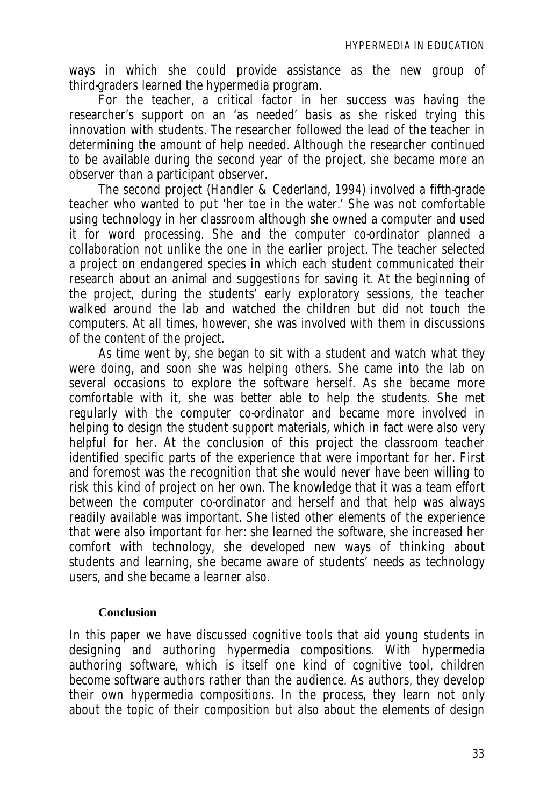ways in which she could provide assistance as the new group of third-graders learned the hypermedia program.

For the teacher, a critical factor in her success was having the researcher's support on an 'as needed' basis as she risked trying this innovation with students. The researcher followed the lead of the teacher in determining the amount of help needed. Although the researcher continued to be available during the second year of the project, she became more an observer than a participant observer.

The second project (Handler & Cederland, 1994) involved a fifth-grade teacher who wanted to put 'her toe in the water.' She was not comfortable using technology in her classroom although she owned a computer and used it for word processing. She and the computer co-ordinator planned a collaboration not unlike the one in the earlier project. The teacher selected a project on endangered species in which each student communicated their research about an animal and suggestions for saving it. At the beginning of the project, during the students' early exploratory sessions, the teacher walked around the lab and watched the children but did not touch the computers. At all times, however, she was involved with them in discussions of the content of the project.

As time went by, she began to sit with a student and watch what they were doing, and soon she was helping others. She came into the lab on several occasions to explore the software herself. As she became more comfortable with it, she was better able to help the students. She met regularly with the computer co-ordinator and became more involved in helping to design the student support materials, which in fact were also very helpful for her. At the conclusion of this project the classroom teacher identified specific parts of the experience that were important for her. First and foremost was the recognition that she would never have been willing to risk this kind of project on her own. The knowledge that it was a team effort between the computer co-ordinator and herself and that help was always readily available was important. She listed other elements of the experience that were also important for her: she learned the software, she increased her comfort with technology, she developed new ways of thinking about students and learning, she became aware of students' needs as technology users, and she became a learner also.

## **Conclusion**

In this paper we have discussed cognitive tools that aid young students in designing and authoring hypermedia compositions. With hypermedia authoring software, which is itself one kind of cognitive tool, children become software authors rather than the audience. As authors, they develop their own hypermedia compositions. In the process, they learn not only about the topic of their composition but also about the elements of design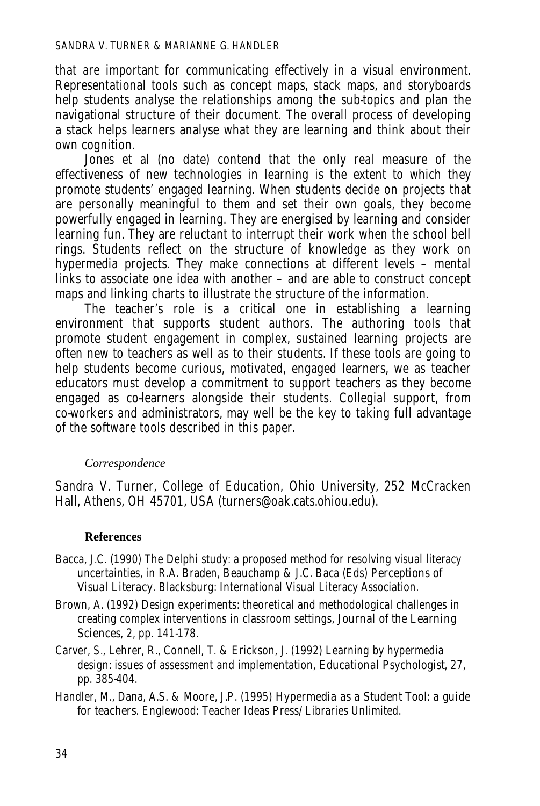that are important for communicating effectively in a visual environment. Representational tools such as concept maps, stack maps, and storyboards help students analyse the relationships among the sub-topics and plan the navigational structure of their document. The overall process of developing a stack helps learners analyse what they are learning and think about their own cognition.

Jones et al (no date) contend that the only real measure of the effectiveness of new technologies in learning is the extent to which they promote students' engaged learning. When students decide on projects that are personally meaningful to them and set their own goals, they become powerfully engaged in learning. They are energised by learning and consider learning fun. They are reluctant to interrupt their work when the school bell rings. Students reflect on the structure of knowledge as they work on hypermedia projects. They make connections at different levels – mental links to associate one idea with another – and are able to construct concept maps and linking charts to illustrate the structure of the information.

The teacher's role is a critical one in establishing a learning environment that supports student authors. The authoring tools that promote student engagement in complex, sustained learning projects are often new to teachers as well as to their students. If these tools are going to help students become curious, motivated, engaged learners, we as teacher educators must develop a commitment to support teachers as they become engaged as co-learners alongside their students. Collegial support, from co-workers and administrators, may well be the key to taking full advantage of the software tools described in this paper.

## *Correspondence*

Sandra V. Turner, College of Education, Ohio University, 252 McCracken Hall, Athens, OH 45701, USA (turners@oak.cats.ohiou.edu).

## **References**

- Bacca, J.C. (1990) The Delphi study: a proposed method for resolving visual literacy uncertainties, in R.A. Braden, Beauchamp & J.C. Baca (Eds) *Perceptions of Visual Literacy*. Blacksburg: International Visual Literacy Association.
- Brown, A. (1992) Design experiments: theoretical and methodological challenges in creating complex interventions in classroom settings, *Journal of the Learning Sciences*, 2, pp. 141-178.
- Carver, S., Lehrer, R., Connell, T. & Erickson, J. (1992) Learning by hypermedia design: issues of assessment and implementation, *Educational Psychologist*, 27, pp. 385-404.
- Handler, M., Dana, A.S. & Moore, J.P. (1995) *Hypermedia as a Student Tool: a guide for teachers*. Englewood: Teacher Ideas Press/Libraries Unlimited.